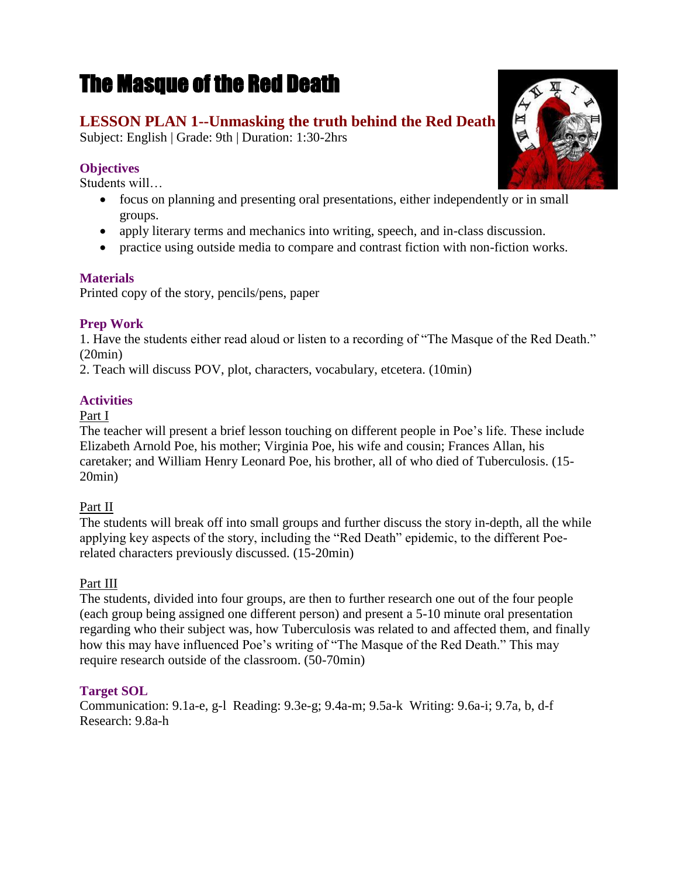# The Masque of the Red Death

# **LESSON PLAN 1--Unmasking the truth behind the Red Death**

Subject: English | Grade: 9th | Duration: 1:30-2hrs

# **Objectives**

Students will…

- focus on planning and presenting oral presentations, either independently or in small groups.
- apply literary terms and mechanics into writing, speech, and in-class discussion.
- practice using outside media to compare and contrast fiction with non-fiction works.

## **Materials**

Printed copy of the story, pencils/pens, paper

# **Prep Work**

1. Have the students either read aloud or listen to a recording of "The Masque of the Red Death." (20min)

2. Teach will discuss POV, plot, characters, vocabulary, etcetera. (10min)

# **Activities**

## Part I

The teacher will present a brief lesson touching on different people in Poe's life. These include Elizabeth Arnold Poe, his mother; Virginia Poe, his wife and cousin; Frances Allan, his caretaker; and William Henry Leonard Poe, his brother, all of who died of Tuberculosis. (15- 20min)

## Part II

The students will break off into small groups and further discuss the story in-depth, all the while applying key aspects of the story, including the "Red Death" epidemic, to the different Poerelated characters previously discussed. (15-20min)

# Part III

The students, divided into four groups, are then to further research one out of the four people (each group being assigned one different person) and present a 5-10 minute oral presentation regarding who their subject was, how Tuberculosis was related to and affected them, and finally how this may have influenced Poe's writing of "The Masque of the Red Death." This may require research outside of the classroom. (50-70min)

# **Target SOL**

Communication: 9.1a-e, g-l Reading: 9.3e-g; 9.4a-m; 9.5a-k Writing: 9.6a-i; 9.7a, b, d-f Research: 9.8a-h

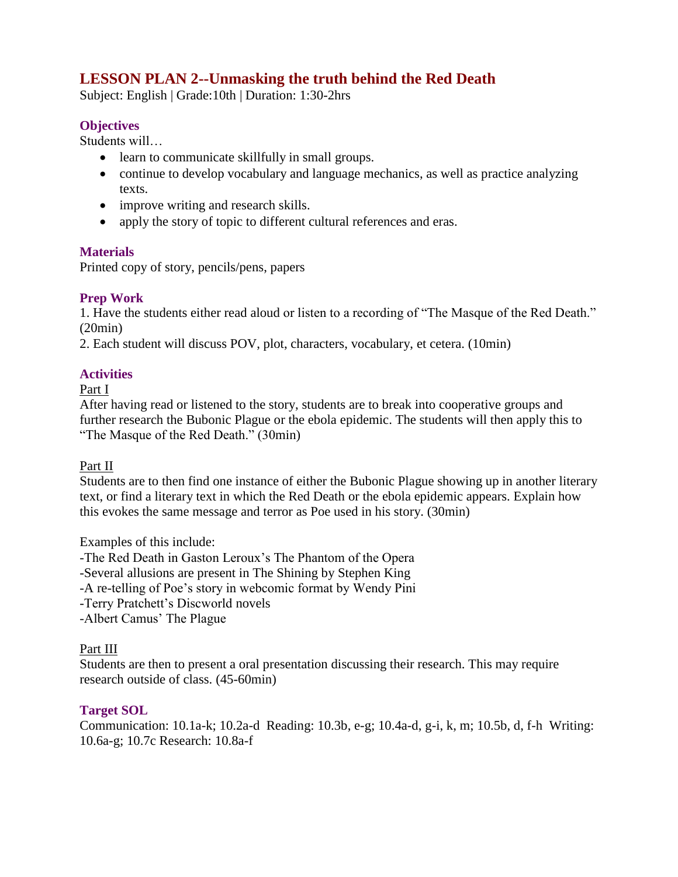# **LESSON PLAN 2--Unmasking the truth behind the Red Death**

Subject: English | Grade:10th | Duration: 1:30-2hrs

#### **Objectives**

Students will…

- learn to communicate skillfully in small groups.
- continue to develop vocabulary and language mechanics, as well as practice analyzing texts.
- improve writing and research skills.
- apply the story of topic to different cultural references and eras.

#### **Materials**

Printed copy of story, pencils/pens, papers

## **Prep Work**

1. Have the students either read aloud or listen to a recording of "The Masque of the Red Death." (20min)

2. Each student will discuss POV, plot, characters, vocabulary, et cetera. (10min)

#### **Activities**

Part I

After having read or listened to the story, students are to break into cooperative groups and further research the Bubonic Plague or the ebola epidemic. The students will then apply this to "The Masque of the Red Death." (30min)

#### Part II

Students are to then find one instance of either the Bubonic Plague showing up in another literary text, or find a literary text in which the Red Death or the ebola epidemic appears. Explain how this evokes the same message and terror as Poe used in his story. (30min)

Examples of this include:

-The Red Death in Gaston Leroux's The Phantom of the Opera

-Several allusions are present in The Shining by Stephen King

-A re-telling of Poe's story in webcomic format by Wendy Pini

- -Terry Pratchett's Discworld novels
- -Albert Camus' The Plague

#### Part III

Students are then to present a oral presentation discussing their research. This may require research outside of class. (45-60min)

#### **Target SOL**

Communication: 10.1a-k; 10.2a-d Reading: 10.3b, e-g; 10.4a-d, g-i, k, m; 10.5b, d, f-h Writing: 10.6a-g; 10.7c Research: 10.8a-f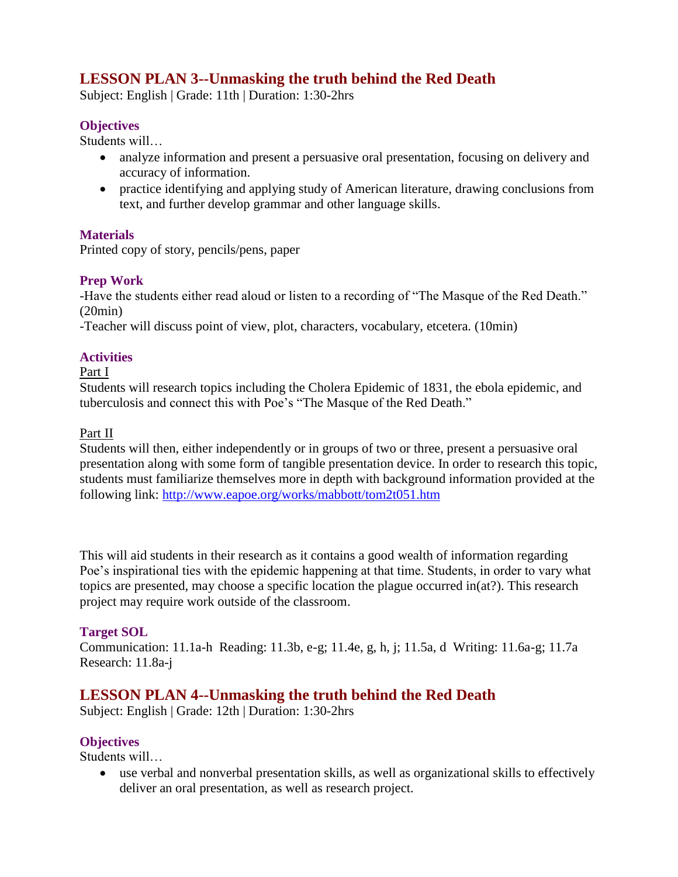# **LESSON PLAN 3--Unmasking the truth behind the Red Death**

Subject: English | Grade: 11th | Duration: 1:30-2hrs

#### **Objectives**

Students will…

- analyze information and present a persuasive oral presentation, focusing on delivery and accuracy of information.
- practice identifying and applying study of American literature, drawing conclusions from text, and further develop grammar and other language skills.

#### **Materials**

Printed copy of story, pencils/pens, paper

## **Prep Work**

-Have the students either read aloud or listen to a recording of "The Masque of the Red Death." (20min)

-Teacher will discuss point of view, plot, characters, vocabulary, etcetera. (10min)

# **Activities**

#### Part I

Students will research topics including the Cholera Epidemic of 1831, the ebola epidemic, and tuberculosis and connect this with Poe's "The Masque of the Red Death."

### Part II

Students will then, either independently or in groups of two or three, present a persuasive oral presentation along with some form of tangible presentation device. In order to research this topic, students must familiarize themselves more in depth with background information provided at the following link: <http://www.eapoe.org/works/mabbott/tom2t051.htm>

This will aid students in their research as it contains a good wealth of information regarding Poe's inspirational ties with the epidemic happening at that time. Students, in order to vary what topics are presented, may choose a specific location the plague occurred in(at?). This research project may require work outside of the classroom.

## **Target SOL**

Communication: 11.1a-h Reading: 11.3b, e-g; 11.4e, g, h, j; 11.5a, d Writing: 11.6a-g; 11.7a Research: 11.8a-j

# **LESSON PLAN 4--Unmasking the truth behind the Red Death**

Subject: English | Grade: 12th | Duration: 1:30-2hrs

## **Objectives**

Students will…

 use verbal and nonverbal presentation skills, as well as organizational skills to effectively deliver an oral presentation, as well as research project.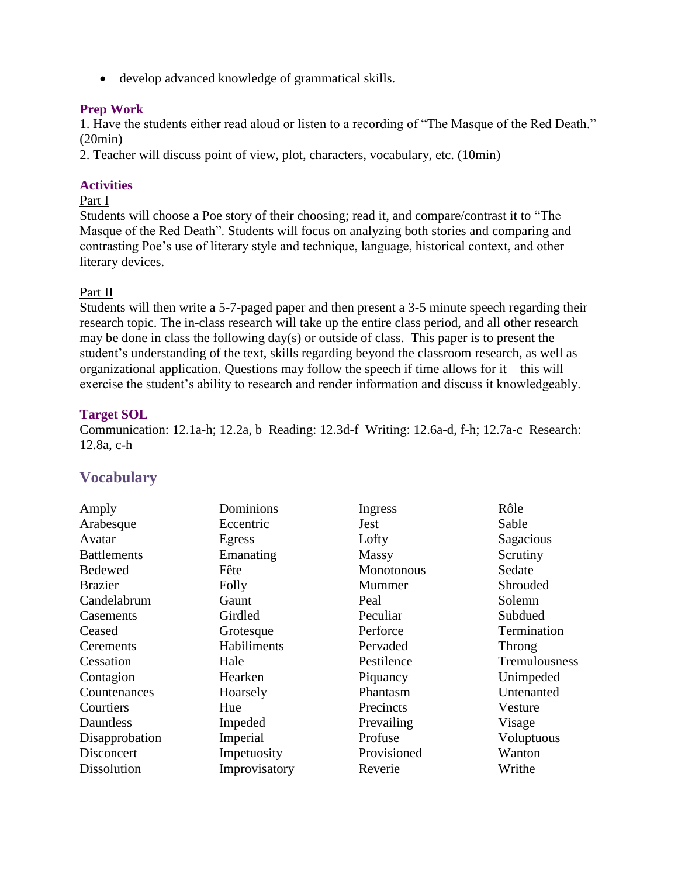develop advanced knowledge of grammatical skills.

#### **Prep Work**

1. Have the students either read aloud or listen to a recording of "The Masque of the Red Death." (20min)

2. Teacher will discuss point of view, plot, characters, vocabulary, etc. (10min)

#### **Activities**

#### Part I

Students will choose a Poe story of their choosing; read it, and compare/contrast it to "The Masque of the Red Death". Students will focus on analyzing both stories and comparing and contrasting Poe's use of literary style and technique, language, historical context, and other literary devices.

#### Part II

Students will then write a 5-7-paged paper and then present a 3-5 minute speech regarding their research topic. The in-class research will take up the entire class period, and all other research may be done in class the following day(s) or outside of class. This paper is to present the student's understanding of the text, skills regarding beyond the classroom research, as well as organizational application. Questions may follow the speech if time allows for it—this will exercise the student's ability to research and render information and discuss it knowledgeably.

#### **Target SOL**

Communication: 12.1a-h; 12.2a, b Reading: 12.3d-f Writing: 12.6a-d, f-h; 12.7a-c Research: 12.8a, c-h

# **Vocabulary**

| Dominions     | Ingress           | Rôle          |
|---------------|-------------------|---------------|
| Eccentric     | Jest              | Sable         |
| Egress        | Lofty             | Sagacious     |
| Emanating     | <b>Massy</b>      | Scrutiny      |
| Fête          | <b>Monotonous</b> | Sedate        |
| Folly         | Mummer            | Shrouded      |
| Gaunt         | Peal              | Solemn        |
| Girdled       | Peculiar          | Subdued       |
| Grotesque     | Perforce          | Termination   |
| Habiliments   | Pervaded          | Throng        |
| Hale          | Pestilence        | Tremulousness |
| Hearken       | Piquancy          | Unimpeded     |
| Hoarsely      | Phantasm          | Untenanted    |
| Hue           | Precincts         | Vesture       |
| Impeded       | Prevailing        | Visage        |
| Imperial      | Profuse           | Voluptuous    |
| Impetuosity   | Provisioned       | Wanton        |
| Improvisatory | Reverie           | Writhe        |
|               |                   |               |